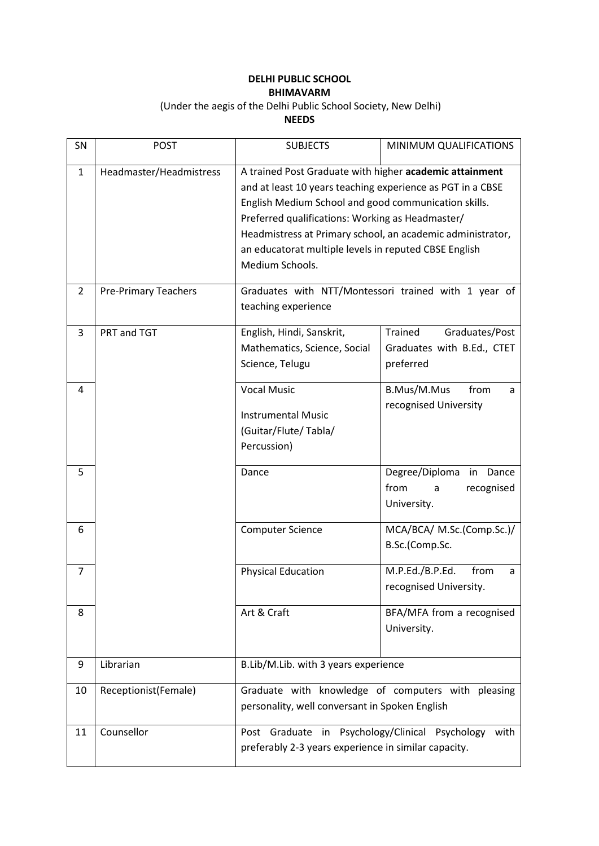## **DELHI PUBLIC SCHOOL BHIMAVARM**

## (Under the aegis of the Delhi Public School Society, New Delhi) **NEEDS**

| SN             | <b>POST</b>                 | <b>SUBJECTS</b>                                                                                                                                                                                                                                                                                                                                                             | MINIMUM QUALIFICATIONS                                                      |
|----------------|-----------------------------|-----------------------------------------------------------------------------------------------------------------------------------------------------------------------------------------------------------------------------------------------------------------------------------------------------------------------------------------------------------------------------|-----------------------------------------------------------------------------|
| 1              | Headmaster/Headmistress     | A trained Post Graduate with higher academic attainment<br>and at least 10 years teaching experience as PGT in a CBSE<br>English Medium School and good communication skills.<br>Preferred qualifications: Working as Headmaster/<br>Headmistress at Primary school, an academic administrator,<br>an educatorat multiple levels in reputed CBSE English<br>Medium Schools. |                                                                             |
| $\overline{2}$ | <b>Pre-Primary Teachers</b> | teaching experience                                                                                                                                                                                                                                                                                                                                                         | Graduates with NTT/Montessori trained with 1 year of                        |
| 3              | PRT and TGT                 | English, Hindi, Sanskrit,<br>Mathematics, Science, Social<br>Science, Telugu                                                                                                                                                                                                                                                                                                | <b>Trained</b><br>Graduates/Post<br>Graduates with B.Ed., CTET<br>preferred |
| 4              |                             | <b>Vocal Music</b><br><b>Instrumental Music</b><br>(Guitar/Flute/Tabla/<br>Percussion)                                                                                                                                                                                                                                                                                      | B.Mus/M.Mus<br>from<br>a<br>recognised University                           |
| 5              |                             | Dance                                                                                                                                                                                                                                                                                                                                                                       | Degree/Diploma<br>Dance<br>in<br>from<br>recognised<br>a<br>University.     |
| 6              |                             | <b>Computer Science</b>                                                                                                                                                                                                                                                                                                                                                     | MCA/BCA/ M.Sc.(Comp.Sc.)/<br>B.Sc.(Comp.Sc.                                 |
| 7              |                             | <b>Physical Education</b>                                                                                                                                                                                                                                                                                                                                                   | M.P.Ed./B.P.Ed.<br>from<br>a<br>recognised University.                      |
| 8              |                             | Art & Craft                                                                                                                                                                                                                                                                                                                                                                 | BFA/MFA from a recognised<br>University.                                    |
| 9              | Librarian                   | B.Lib/M.Lib. with 3 years experience                                                                                                                                                                                                                                                                                                                                        |                                                                             |
| 10             | Receptionist(Female)        | Graduate with knowledge of computers with pleasing<br>personality, well conversant in Spoken English                                                                                                                                                                                                                                                                        |                                                                             |
| 11             | Counsellor                  | Post Graduate in Psychology/Clinical Psychology<br>preferably 2-3 years experience in similar capacity.                                                                                                                                                                                                                                                                     | with                                                                        |